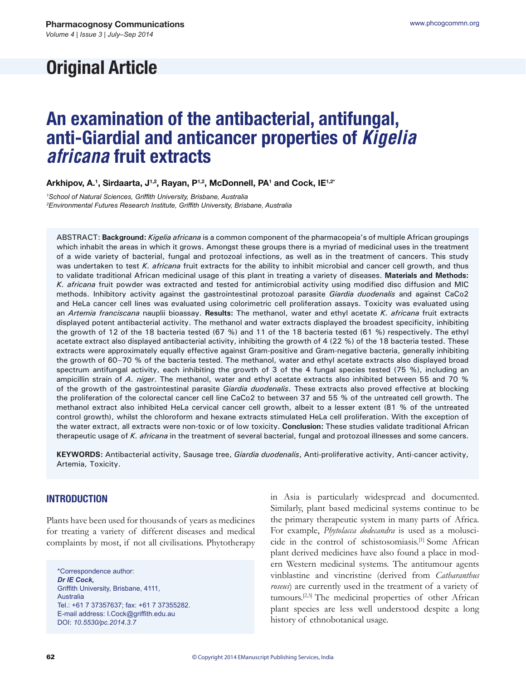# **Original Article**

# **An examination of the antibacterial, antifungal, anti-Giardial and anticancer properties of** *Kigelia africana* **fruit extracts**

Arkhipov, A.<sup>1</sup>, Sirdaarta, J<sup>1,2</sup>, Rayan, P<sup>1,2</sup>, McDonnell, PA<sup>1</sup> and Cock, IE<sup>1,2\*</sup>

<sup>1</sup>School of Natural Sciences, Griffith University, Brisbane, Australia <sup>2</sup> Environmental Futures Research Institute, Griffith University, Brisbane, Australia

ABSTRACT: **Background:** *Kigelia africana* is a common component of the pharmacopeia's of multiple African groupings which inhabit the areas in which it grows. Amongst these groups there is a myriad of medicinal uses in the treatment of a wide variety of bacterial, fungal and protozoal infections, as well as in the treatment of cancers. This study was undertaken to test *K. africana* fruit extracts for the ability to inhibit microbial and cancer cell growth, and thus to validate traditional African medicinal usage of this plant in treating a variety of diseases. **Materials and Methods:**  *K. africana* fruit powder was extracted and tested for antimicrobial activity using modified disc diffusion and MIC methods. Inhibitory activity against the gastrointestinal protozoal parasite *Giardia duodenalis* and against CaCo2 and HeLa cancer cell lines was evaluated using colorimetric cell proliferation assays. Toxicity was evaluated using an *Artemia franciscana* nauplii bioassay. **Results:** The methanol, water and ethyl acetate *K. africana* fruit extracts displayed potent antibacterial activity. The methanol and water extracts displayed the broadest specificity, inhibiting the growth of 12 of the 18 bacteria tested (67 %) and 11 of the 18 bacteria tested (61 %) respectively. The ethyl acetate extract also displayed antibacterial activity, inhibiting the growth of 4 (22 %) of the 18 bacteria tested. These extracts were approximately equally effective against Gram-positive and Gram-negative bacteria, generally inhibiting the growth of 60–70 % of the bacteria tested. The methanol, water and ethyl acetate extracts also displayed broad spectrum antifungal activity, each inhibiting the growth of 3 of the 4 fungal species tested (75 %), including an ampicillin strain of *A. niger*. The methanol, water and ethyl acetate extracts also inhibited between 55 and 70 % of the growth of the gastrointestinal parasite *Giardia duodenalis*. These extracts also proved effective at blocking the proliferation of the colorectal cancer cell line CaCo2 to between 37 and 55 % of the untreated cell growth. The methanol extract also inhibited HeLa cervical cancer cell growth, albeit to a lesser extent (81 % of the untreated control growth), whilst the chloroform and hexane extracts stimulated HeLa cell proliferation. With the exception of the water extract, all extracts were non-toxic or of low toxicity. **Conclusion:** These studies validate traditional African therapeutic usage of *K. africana* in the treatment of several bacterial, fungal and protozoal illnesses and some cancers.

**KEYWORDS:** Antibacterial activity, Sausage tree, *Giardia duodenalis*, Anti-proliferative activity, Anti-cancer activity, Artemia, Toxicity.

# **INTRODUCTION**

Plants have been used for thousands of years as medicines for treating a variety of different diseases and medical complaints by most, if not all civilisations. Phytotherapy

\*Correspondence author: *Dr IE Cock,*  Griffith University, Brisbane, 4111, Australia Tel.: +61 7 37357637; fax: +61 7 37355282. E-mail address: I.Cock@griffith.edu.au DOI: *10.5530/pc.2014.3.7*

in Asia is particularly widespread and documented. Similarly, plant based medicinal systems continue to be the primary therapeutic system in many parts of Africa. For example, *Phytolacca dodecandra* is used as a moluscicide in the control of schistosomiasis.[1] Some African plant derived medicines have also found a place in modern Western medicinal systems. The antitumour agents vinblastine and vincristine (derived from *Catharanthus roseus*) are currently used in the treatment of a variety of tumours.[2,3] The medicinal properties of other African plant species are less well understood despite a long history of ethnobotanical usage.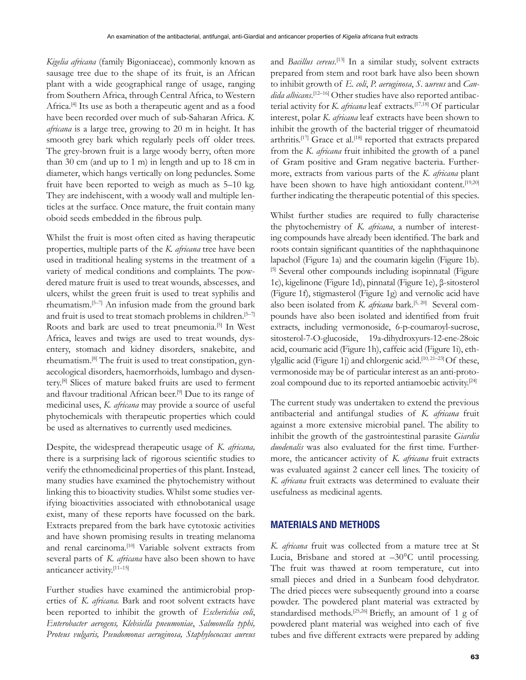*Kigelia africana* (family Bigoniaceae), commonly known as sausage tree due to the shape of its fruit, is an African plant with a wide geographical range of usage, ranging from Southern Africa, through Central Africa, to Western Africa.<sup>[4]</sup> Its use as both a therapeutic agent and as a food have been recorded over much of sub-Saharan Africa. *K. africana* is a large tree, growing to 20 m in height. It has smooth grey bark which regularly peels off older trees. The grey-brown fruit is a large woody berry, often more than 30 cm (and up to 1 m) in length and up to 18 cm in diameter, which hangs vertically on long peduncles. Some fruit have been reported to weigh as much as 5–10 kg. They are indehiscent, with a woody wall and multiple lenticles at the surface. Once mature, the fruit contain many oboid seeds embedded in the fibrous pulp.

Whilst the fruit is most often cited as having therapeutic properties, multiple parts of the *K. africana* tree have been used in traditional healing systems in the treatment of a variety of medical conditions and complaints. The powdered mature fruit is used to treat wounds, abscesses, and ulcers, whilst the green fruit is used to treat syphilis and rheumatism.[5–7] An infusion made from the ground bark and fruit is used to treat stomach problems in children.<sup>[5-7]</sup> Roots and bark are used to treat pneumonia.<sup>[5]</sup> In West Africa, leaves and twigs are used to treat wounds, dysentery, stomach and kidney disorders, snakebite, and rheumatism.[8] The fruit is used to treat constipation, gynaecological disorders, haemorrhoids, lumbago and dysentery.[8] Slices of mature baked fruits are used to ferment and flavour traditional African beer.<sup>[9]</sup> Due to its range of medicinal uses, *K. africana* may provide a source of useful phytochemicals with therapeutic properties which could be used as alternatives to currently used medicines.

Despite, the widespread therapeutic usage of *K. africana,*  there is a surprising lack of rigorous scientific studies to verify the ethnomedicinal properties of this plant. Instead, many studies have examined the phytochemistry without linking this to bioactivity studies. Whilst some studies verifying bioactivities associated with ethnobotanical usage exist, many of these reports have focussed on the bark. Extracts prepared from the bark have cytotoxic activities and have shown promising results in treating melanoma and renal carcinoma.<sup>[10]</sup> Variable solvent extracts from several parts of *K. africana* have also been shown to have anticancer activity.[11–15]

Further studies have examined the antimicrobial properties of *K. africana.* Bark and root solvent extracts have been reported to inhibit the growth of *Escherichia coli*, *Enterobacter aerogens, Klebsiella pneumoniae*, *Salmonella typhi, Proteus vulgaris, Pseudomonas aeruginosa, Staphylococcus aureus*

and *Bacillus cereus*. [13] In a similar study, solvent extracts prepared from stem and root bark have also been shown to inhibit growth of *E. coli*, *P. aeruginosa*, *S.* a*ureus* and *Candida albicans*. [12–16] Other studies have also reported antibacterial activity for *K. africana* leaf extracts.[17,18] Of particular interest, polar *K. africana* leaf extracts have been shown to inhibit the growth of the bacterial trigger of rheumatoid arthritis.<sup>[17]</sup> Grace et al.<sup>[18]</sup> reported that extracts prepared from the *K. africana* fruit inhibited the growth of a panel of Gram positive and Gram negative bacteria. Furthermore, extracts from various parts of the *K. africana* plant have been shown to have high antioxidant content.<sup>[19,20]</sup> further indicating the therapeutic potential of this species.

Whilst further studies are required to fully characterise the phytochemistry of *K. africana*, a number of interesting compounds have already been identified. The bark and roots contain significant quantities of the naphthaquinone lapachol (Figure 1a) and the coumarin kigelin (Figure 1b). [5] Several other compounds including isopinnatal (Figure 1c), kigelinone (Figure 1d), pinnatal (Figure 1e), β-sitosterol (Figure 1f), stigmasterol (Figure 1g) and vernolic acid have also been isolated from *K. africana* bark.<sup>[5, 20]</sup> Several compounds have also been isolated and identified from fruit extracts, including vermonoside, 6-p-coumaroyl-sucrose, sitosterol-7-O-glucoside, 19a-dihydroxyurs-12-ene-28oic acid, coumaric acid (Figure 1h), caffeic acid (Figure 1i), ethylgallic acid (Figure 1j) and chlorgenic acid.<sup>[10, 21–23]</sup> Of these, vermonoside may be of particular interest as an anti-protozoal compound due to its reported antiamoebic activity.<sup>[24]</sup>

The current study was undertaken to extend the previous antibacterial and antifungal studies of *K. africana* fruit against a more extensive microbial panel. The ability to inhibit the growth of the gastrointestinal parasite *Giardia duodenalis* was also evaluated for the first time. Furthermore, the anticancer activity of *K. africana* fruit extracts was evaluated against 2 cancer cell lines. The toxicity of *K. africana* fruit extracts was determined to evaluate their usefulness as medicinal agents.

# **MATERIALS AND METHODS**

*K. africana* fruit was collected from a mature tree at St Lucia, Brisbane and stored at –30°C until processing. The fruit was thawed at room temperature, cut into small pieces and dried in a Sunbeam food dehydrator. The dried pieces were subsequently ground into a coarse powder. The powdered plant material was extracted by standardised methods.<sup>[25,26]</sup> Briefly, an amount of 1 g of powdered plant material was weighed into each of five tubes and five different extracts were prepared by adding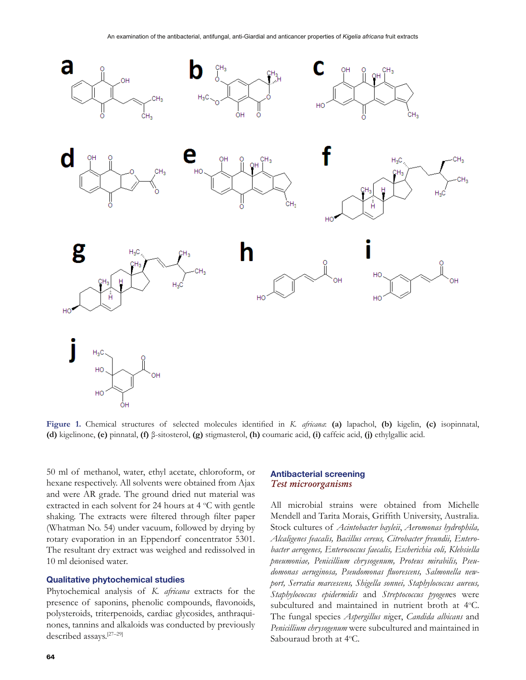

Figure 1. Chemical structures of selected molecules identified in K. africana: (a) lapachol, (b) kigelin, (c) isopinnatal, **(d)** kigelinone, **(e)** pinnatal, **(f)** β-sitosterol, **(g)** stigmasterol, **(h)** coumaric acid, **(i)** caffeic acid, **(j)** ethylgallic acid.

50 ml of methanol, water, ethyl acetate, chloroform, or hexane respectively. All solvents were obtained from Ajax and were AR grade. The ground dried nut material was extracted in each solvent for 24 hours at  $4^{\circ}$ C with gentle shaking. The extracts were filtered through filter paper (Whatman No. 54) under vacuum, followed by drying by rotary evaporation in an Eppendorf concentrator 5301. The resultant dry extract was weighed and redissolved in 10 ml deionised water.

### **Qualitative phytochemical studies**

Phytochemical analysis of *K. africana* extracts for the presence of saponins, phenolic compounds, flavonoids, polysteroids, triterpenoids, cardiac glycosides, anthraquinones, tannins and alkaloids was conducted by previously described assays.[27–29]

# **Antibacterial screening** Test microorganisms

All microbial strains were obtained from Michelle Mendell and Tarita Morais, Griffith University, Australia. Stock cultures of *Acintobacter bayleii*, *Aeromonas hydrophila, Alcaligenes feacalis, Bacillus cereus, Citrobacter freundii, Enterobacter aerogenes, Enterococcus faecalis, Escherichia coli, Klebsiella pneumoniae, Penicillium chrysogenum, Proteus mirabilis, Pseu*domonas aeruginosa, Pseudomonas fluorescens, Salmonella new*port, Serratia marcescens, Shigella sonnei, Staphylococcus aureus, Staphylococcus epidermidis* and *Streptococcus pyogen*es were subcultured and maintained in nutrient broth at 4°C. The fungal species *Aspergillus ni*ger, *Candida albicans* and *Penicillium chrysogenum* were subcultured and maintained in Sabouraud broth at 4°C.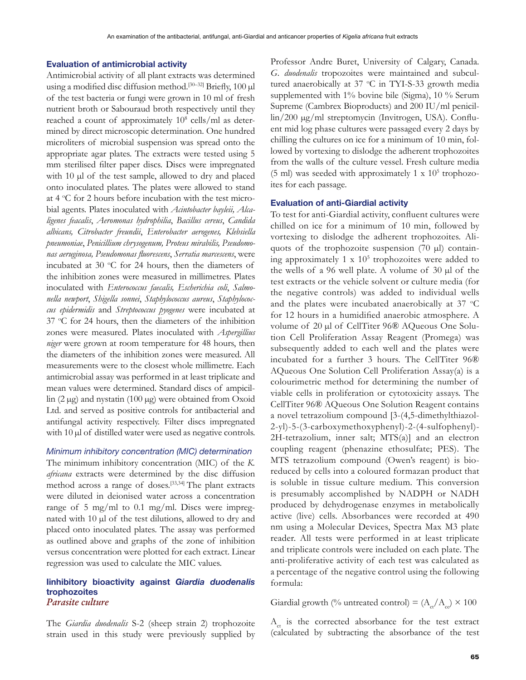#### **Evaluation of antimicrobial activity**

Antimicrobial activity of all plant extracts was determined using a modified disc diffusion method.<sup>[30–32]</sup> Briefly,  $100 \mu$ l of the test bacteria or fungi were grown in 10 ml of fresh nutrient broth or Sabouraud broth respectively until they reached a count of approximately 10<sup>8</sup> cells/ml as determined by direct microscopic determination. One hundred microliters of microbial suspension was spread onto the appropriate agar plates. The extracts were tested using 5 mm sterilised filter paper discs. Discs were impregnated with 10  $\mu$ l of the test sample, allowed to dry and placed onto inoculated plates. The plates were allowed to stand at 4 °C for 2 hours before incubation with the test microbial agents. Plates inoculated with *Acintobacter bayleii, Alcaligenes feacalis*, *Aeromonas hydrophilia*, *Bacillus cereus*, *Candida albicans, Citrobacter freundii*, *Enterobacter aerogenes, Klebsiella pneumoniae*, *Penicillium chrysogenum, Proteus mirabilis, Pseudomo-QDVDHUXJLQRVD3VHXGRPRQDVÁXRUHVFHQV*, *Serratia marcescens*, were incubated at 30 °C for 24 hours, then the diameters of the inhibition zones were measured in millimetres. Plates inoculated with *Enterococcus faecalis, Escherichia coli*, *Salmo-QHOODQHZSRUW*, *Shigella sonnei*, *Staphylococcus aureus*, *Staphylococcus epidermidis* and *Streptococcus pyogenes* were incubated at 37 °C for 24 hours, then the diameters of the inhibition zones were measured. Plates inoculated with *Aspergillius niger* were grown at room temperature for 48 hours, then the diameters of the inhibition zones were measured. All measurements were to the closest whole millimetre. Each antimicrobial assay was performed in at least triplicate and mean values were determined. Standard discs of ampicil- $\ln$  (2  $\mu$ g) and nystatin (100  $\mu$ g) were obtained from Oxoid Ltd. and served as positive controls for antibacterial and antifungal activity respectively. Filter discs impregnated with  $10 \mu$  of distilled water were used as negative controls.

*Minimum inhibitory concentration (MIC) determination* The minimum inhibitory concentration (MIC) of the *K. africana* extracts were determined by the disc diffusion method across a range of doses.[33,34] The plant extracts were diluted in deionised water across a concentration range of 5 mg/ml to 0.1 mg/ml. Discs were impregnated with 10 µl of the test dilutions, allowed to dry and placed onto inoculated plates. The assay was performed as outlined above and graphs of the zone of inhibition versus concentration were plotted for each extract. Linear regression was used to calculate the MIC values.

#### **Iinhibitory bioactivity against** *Giardia duodenalis* **trophozoites** Parasite culture

The *Giardia duodenalis* S-2 (sheep strain 2) trophozoite strain used in this study were previously supplied by Professor Andre Buret, University of Calgary, Canada. *G. duodenalis* tropozoites were maintained and subcultured anaerobically at 37 °C in TYI-S-33 growth media supplemented with 1% bovine bile (Sigma), 10 % Serum Supreme (Cambrex Bioproducts) and  $200$  IU/ml penicillin/200 µg/ml streptomycin (Invitrogen, USA). Confluent mid log phase cultures were passaged every 2 days by chilling the cultures on ice for a minimum of 10 min, followed by vortexing to dislodge the adherent trophozoites from the walls of the culture vessel. Fresh culture media (5 ml) was seeded with approximately 1 x  $10<sup>5</sup>$  trophozoites for each passage.

### **Evaluation of anti-Giardial activity**

To test for anti-Giardial activity, confluent cultures were chilled on ice for a minimum of 10 min, followed by vortexing to dislodge the adherent trophozoites. Aliquots of the trophozoite suspension (70  $\mu$ l) containing approximately  $1 \times 10^5$  trophozoites were added to the wells of a 96 well plate. A volume of 30  $\mu$ l of the test extracts or the vehicle solvent or culture media (for the negative controls) was added to individual wells and the plates were incubated anaerobically at 37  $\mathrm{^{\circ}C}$ for 12 hours in a humidified anaerobic atmosphere. A volume of 20 µl of CellTiter 96® AQueous One Solution Cell Proliferation Assay Reagent (Promega) was subsequently added to each well and the plates were incubated for a further 3 hours. The CellTiter 96® AQueous One Solution Cell Proliferation Assay(a) is a colourimetric method for determining the number of viable cells in proliferation or cytotoxicity assays. The CellTiter 96® AQueous One Solution Reagent contains a novel tetrazolium compound [3-(4,5-dimethylthiazol-2-yl)-5-(3-carboxymethoxyphenyl)-2-(4-sulfophenyl)- 2H-tetrazolium, inner salt; MTS(a)] and an electron coupling reagent (phenazine ethosulfate; PES). The MTS tetrazolium compound (Owen's reagent) is bioreduced by cells into a coloured formazan product that is soluble in tissue culture medium. This conversion is presumably accomplished by NADPH or NADH produced by dehydrogenase enzymes in metabolically active (live) cells. Absorbances were recorded at 490 nm using a Molecular Devices, Spectra Max M3 plate reader. All tests were performed in at least triplicate and triplicate controls were included on each plate. The anti-proliferative activity of each test was calculated as a percentage of the negative control using the following formula:

Giardial growth (% untreated control) =  $(A_{ct}/A_{cs}) \times 100$ 

 $A<sub>ct</sub>$  is the corrected absorbance for the test extract (calculated by subtracting the absorbance of the test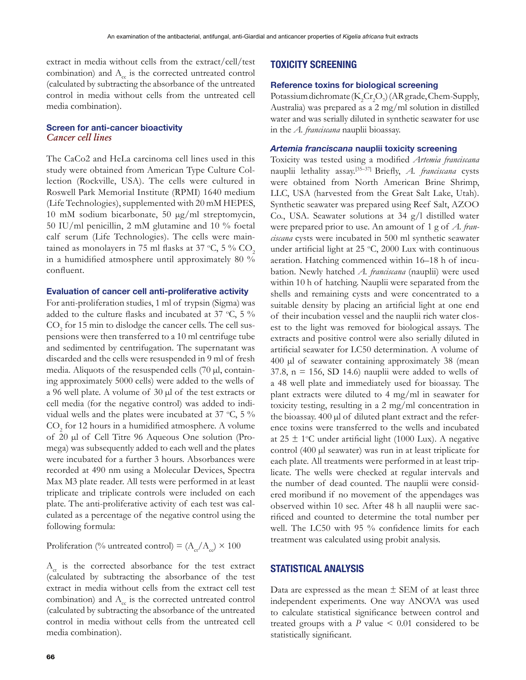extract in media without cells from the extract/cell/test combination) and  $A_c$  is the corrected untreated control (calculated by subtracting the absorbance of the untreated control in media without cells from the untreated cell media combination).

## **Screen for anti-cancer bioactivity** Cancer cell lines

The CaCo2 and HeLa carcinoma cell lines used in this study were obtained from American Type Culture Collection (Rockville, USA). The cells were cultured in Roswell Park Memorial Institute (RPMI) 1640 medium (Life Technologies), supplemented with 20 mM HEPES, 10 mM sodium bicarbonate, 50  $\mu$ g/ml streptomycin, 50 IU/ml penicillin, 2 mM glutamine and 10  $\%$  foetal calf serum (Life Technologies). The cells were maintained as monolayers in 75 ml flasks at 37 °C, 5 %  $\mathrm{CO}_2$ in a humidified atmosphere until approximately 80  $\%$ confluent.

#### **Evaluation of cancer cell anti-proliferative activity**

For anti-proliferation studies, 1 ml of trypsin (Sigma) was added to the culture flasks and incubated at 37 °C, 5 %  $\mathrm{CO}_2$  for 15 min to dislodge the cancer cells. The cell suspensions were then transferred to a 10 ml centrifuge tube and sedimented by centrifugation. The supernatant was discarded and the cells were resuspended in 9 ml of fresh media. Aliquots of the resuspended cells  $(70 \mu l, \text{contain}$ ing approximately 5000 cells) were added to the wells of a 96 well plate. A volume of 30  $\mu$ l of the test extracts or cell media (for the negative control) was added to individual wells and the plates were incubated at 37  $\degree$ C, 5  $\%$  $\mathrm{CO}_2$  for 12 hours in a humidified atmosphere. A volume of 20  $\mu$ l of Cell Titre 96 Aqueous One solution (Promega) was subsequently added to each well and the plates were incubated for a further 3 hours. Absorbances were recorded at 490 nm using a Molecular Devices, Spectra Max M3 plate reader. All tests were performed in at least triplicate and triplicate controls were included on each plate. The anti-proliferative activity of each test was calculated as a percentage of the negative control using the following formula:

Proliferation (% untreated control) =  $(A_{\rm ct}/A_{\rm cc}) \times 100$ 

 $A<sub>ct</sub>$  is the corrected absorbance for the test extract (calculated by subtracting the absorbance of the test extract in media without cells from the extract cell test combination) and  $A<sub>c</sub>$  is the corrected untreated control (calculated by subtracting the absorbance of the untreated control in media without cells from the untreated cell media combination).

# **TOXICITY SCREENING**

#### **Reference toxins for biological screening**

Potassium dichromate  $(K_2Cr_2O_7)$  (AR grade, Chem-Supply, Australia) was prepared as a 2 mg/ml solution in distilled water and was serially diluted in synthetic seawater for use in the *A. franciscana* nauplii bioassay.

#### *Artemia franciscana* **nauplii toxicity screening**

Toxicity was tested using a modified Artemia franciscana nauplii lethality assay.<sup>[35-37]</sup> Briefly, *A. franciscana* cysts were obtained from North American Brine Shrimp, LLC, USA (harvested from the Great Salt Lake, Utah). Synthetic seawater was prepared using Reef Salt, AZOO Co., USA. Seawater solutions at 34 g/l distilled water were prepared prior to use. An amount of 1 g of *A. franciscana* cysts were incubated in 500 ml synthetic seawater under artificial light at  $25 \text{ °C}$ ,  $2000$  Lux with continuous aeration. Hatching commenced within 16–18 h of incubation. Newly hatched *A. franciscana* (nauplii) were used within 10 h of hatching. Nauplii were separated from the shells and remaining cysts and were concentrated to a suitable density by placing an artificial light at one end of their incubation vessel and the nauplii rich water closest to the light was removed for biological assays. The extracts and positive control were also serially diluted in artificial seawater for LC50 determination. A volume of  $400$  µl of seawater containing approximately 38 (mean 37.8,  $n = 156$ , SD 14.6) nauplii were added to wells of a 48 well plate and immediately used for bioassay. The plant extracts were diluted to 4 mg/ml in seawater for toxicity testing, resulting in a 2 mg/ml concentration in the bioassay. 400 µl of diluted plant extract and the reference toxins were transferred to the wells and incubated at  $25 \pm 1$ °C under artificial light (1000 Lux). A negative control (400  $\mu$ l seawater) was run in at least triplicate for each plate. All treatments were performed in at least triplicate. The wells were checked at regular intervals and the number of dead counted. The nauplii were considered moribund if no movement of the appendages was observed within 10 sec. After 48 h all nauplii were sacrificed and counted to determine the total number per well. The LC50 with 95 % confidence limits for each treatment was calculated using probit analysis.

# **STATISTICAL ANALYSIS**

Data are expressed as the mean  $\pm$  SEM of at least three independent experiments. One way ANOVA was used to calculate statistical significance between control and treated groups with a  $P$  value  $\leq 0.01$  considered to be statistically significant.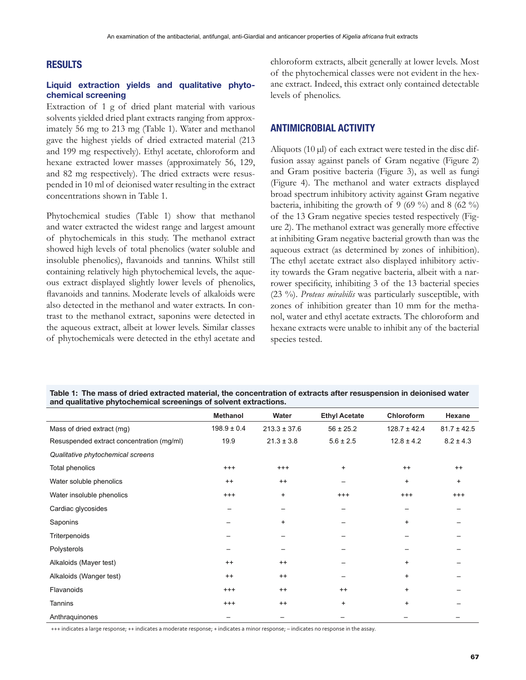# **RESULTS**

## **Liquid extraction yields and qualitative phytochemical screening**

Extraction of 1 g of dried plant material with various solvents yielded dried plant extracts ranging from approximately 56 mg to 213 mg (Table 1). Water and methanol gave the highest yields of dried extracted material (213 and 199 mg respectively). Ethyl acetate, chloroform and hexane extracted lower masses (approximately 56, 129, and 82 mg respectively). The dried extracts were resuspended in 10 ml of deionised water resulting in the extract concentrations shown in Table 1.

Phytochemical studies (Table 1) show that methanol and water extracted the widest range and largest amount of phytochemicals in this study. The methanol extract showed high levels of total phenolics (water soluble and insoluble phenolics), flavanoids and tannins. Whilst still containing relatively high phytochemical levels, the aqueous extract displayed slightly lower levels of phenolics, flavanoids and tannins. Moderate levels of alkaloids were also detected in the methanol and water extracts. In contrast to the methanol extract, saponins were detected in the aqueous extract, albeit at lower levels. Similar classes of phytochemicals were detected in the ethyl acetate and chloroform extracts, albeit generally at lower levels. Most of the phytochemical classes were not evident in the hexane extract. Indeed, this extract only contained detectable levels of phenolics.

# **ANTIMICROBIAL ACTIVITY**

Aliquots (10  $\mu$ l) of each extract were tested in the disc diffusion assay against panels of Gram negative (Figure 2) and Gram positive bacteria (Figure 3), as well as fungi (Figure 4). The methanol and water extracts displayed broad spectrum inhibitory activity against Gram negative bacteria, inhibiting the growth of 9 (69 %) and 8 (62 %) of the 13 Gram negative species tested respectively (Figure 2). The methanol extract was generally more effective at inhibiting Gram negative bacterial growth than was the aqueous extract (as determined by zones of inhibition). The ethyl acetate extract also displayed inhibitory activity towards the Gram negative bacteria, albeit with a narrower specificity, inhibiting 3 of the 13 bacterial species (23 %). *Proteus mirabilis* was particularly susceptible, with zones of inhibition greater than 10 mm for the methanol, water and ethyl acetate extracts. The chloroform and hexane extracts were unable to inhibit any of the bacterial species tested.

| Table 1: The mass of dried extracted material, the concentration of extracts after resuspension in deionised water |
|--------------------------------------------------------------------------------------------------------------------|
| and qualitative phytochemical screenings of solvent extractions.                                                   |

|                                           | <b>Methanol</b> | Water            | <b>Ethyl Acetate</b> | Chloroform       | Hexane          |
|-------------------------------------------|-----------------|------------------|----------------------|------------------|-----------------|
| Mass of dried extract (mg)                | $198.9 \pm 0.4$ | $213.3 \pm 37.6$ | $56 \pm 25.2$        | $128.7 \pm 42.4$ | $81.7 \pm 42.5$ |
| Resuspended extract concentration (mg/ml) | 19.9            | $21.3 \pm 3.8$   | $5.6 \pm 2.5$        | $12.8 \pm 4.2$   | $8.2 \pm 4.3$   |
| Qualitative phytochemical screens         |                 |                  |                      |                  |                 |
| Total phenolics                           | $^{+++}$        | $^{+++}$         | $\ddot{}$            | $++$             | $^{++}$         |
| Water soluble phenolics                   | $^{++}$         | $^{++}$          |                      | $\ddot{}$        | $\ddot{}$       |
| Water insoluble phenolics                 | $^{+++}$        | $\ddot{}$        | $^{+++}$             | $^{+++}$         | $^{+++}$        |
| Cardiac glycosides                        |                 |                  |                      |                  |                 |
| Saponins                                  |                 | $\ddot{}$        |                      | $\ddot{}$        |                 |
| Triterpenoids                             |                 |                  |                      |                  |                 |
| Polysterols                               |                 |                  |                      |                  |                 |
| Alkaloids (Mayer test)                    | $^{++}$         | $^{++}$          |                      | $\ddot{}$        |                 |
| Alkaloids (Wanger test)                   | $^{++}$         | $^{++}$          |                      | $\ddot{}$        |                 |
| Flavanoids                                | $^{+++}$        | $^{++}$          | $++$                 | $\ddot{}$        |                 |
| Tannins                                   | $^{+++}$        | $^{++}$          | $\ddot{}$            | $\ddot{}$        |                 |
| Anthraquinones                            |                 |                  |                      |                  |                 |

+++ indicates a large response; ++ indicates a moderate response; + indicates a minor response; – indicates no response in the assay.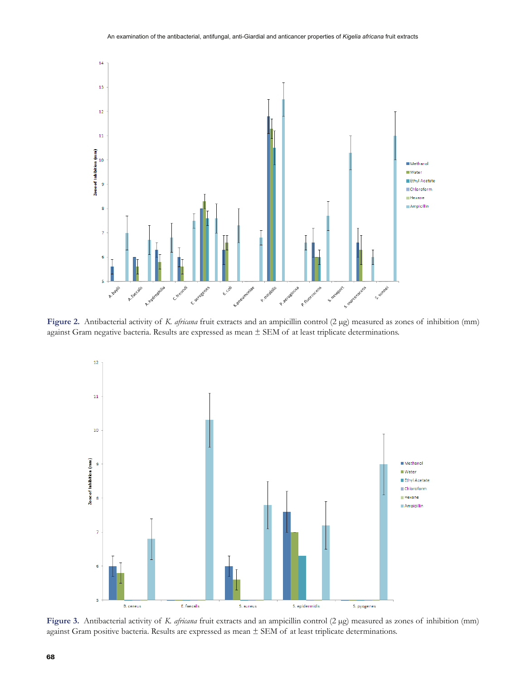

Figure 2. Antibacterial activity of *K. africana* fruit extracts and an ampicillin control (2 µg) measured as zones of inhibition (mm) against Gram negative bacteria. Results are expressed as mean ± SEM of at least triplicate determinations.



Figure 3. Antibacterial activity of *K. africana* fruit extracts and an ampicillin control (2 µg) measured as zones of inhibition (mm) against Gram positive bacteria. Results are expressed as mean ± SEM of at least triplicate determinations.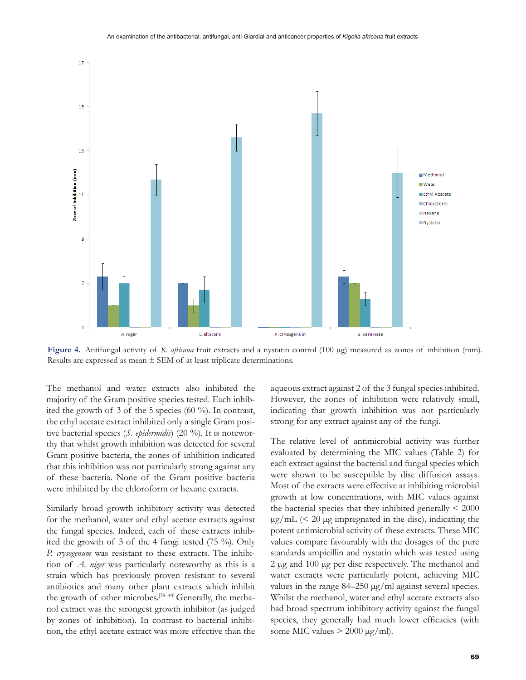

**Figure 4.** Antifungal activity of *K. africana* fruit extracts and a nystatin control (100 µg) measured as zones of inhibition (mm). Results are expressed as mean  $\pm$  SEM of at least triplicate determinations.

The methanol and water extracts also inhibited the majority of the Gram positive species tested. Each inhibited the growth of 3 of the 5 species (60 %). In contrast, the ethyl acetate extract inhibited only a single Gram positive bacterial species (*S. epidermidis*) (20 %). It is noteworthy that whilst growth inhibition was detected for several Gram positive bacteria, the zones of inhibition indicated that this inhibition was not particularly strong against any of these bacteria. None of the Gram positive bacteria were inhibited by the chloroform or hexane extracts.

Similarly broad growth inhibitory activity was detected for the methanol, water and ethyl acetate extracts against the fungal species. Indeed, each of these extracts inhibited the growth of 3 of the 4 fungi tested (75 %). Only *P. crysogenum* was resistant to these extracts. The inhibition of *A. niger* was particularly noteworthy as this is a strain which has previously proven resistant to several antibiotics and many other plant extracts which inhibit the growth of other microbes.<sup>[38-40]</sup> Generally, the methanol extract was the strongest growth inhibitor (as judged by zones of inhibition). In contrast to bacterial inhibition, the ethyl acetate extract was more effective than the aqueous extract against 2 of the 3 fungal species inhibited. However, the zones of inhibition were relatively small, indicating that growth inhibition was not particularly strong for any extract against any of the fungi.

The relative level of antimicrobial activity was further evaluated by determining the MIC values (Table 2) for each extract against the bacterial and fungal species which were shown to be susceptible by disc diffusion assays. Most of the extracts were effective at inhibiting microbial growth at low concentrations, with MIC values against the bacterial species that they inhibited generally  $\leq 2000$  $\mu$ g/mL (< 20  $\mu$ g impregnated in the disc), indicating the potent antimicrobial activity of these extracts. These MIC values compare favourably with the dosages of the pure standards ampicillin and nystatin which was tested using  $2 \mu$ g and  $100 \mu$ g per disc respectively. The methanol and water extracts were particularly potent, achieving MIC values in the range  $84-250 \mu g/ml$  against several species. Whilst the methanol, water and ethyl acetate extracts also had broad spectrum inhibitory activity against the fungal species, they generally had much lower efficacies (with some MIC values  $>$  2000  $\mu$ g/ml).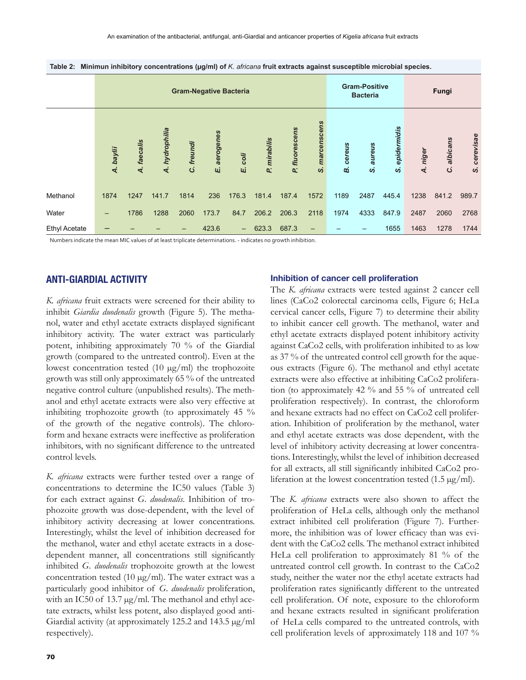|                      | <b>Gram-Negative Bacteria</b> |                |                  |              |                |                          |              | <b>Gram-Positive</b><br><b>Bacteria</b> |                   |                     | Fungi               |                  |             |               |                                        |
|----------------------|-------------------------------|----------------|------------------|--------------|----------------|--------------------------|--------------|-----------------------------------------|-------------------|---------------------|---------------------|------------------|-------------|---------------|----------------------------------------|
|                      | A. baylii                     | faecalis<br>નં | hydrophilia<br>4 | freundi<br>ن | aerogenes<br>Ш | coli<br>Щ                | P. mirabilis | fluorescens<br>Q.                       | marcenscens<br>ၯ  | cereus<br><b>có</b> | aureus<br><b>vi</b> | epidermidis<br>ၯ | niger<br>दं | albicans<br>ن | cerevisae<br>$\boldsymbol{\mathsf{S}}$ |
| Methanol             | 1874                          | 1247           | 141.7            | 1814         | 236            | 176.3                    | 181.4        | 187.4                                   | 1572              | 1189                | 2487                | 445.4            | 1238        | 841.2         | 989.7                                  |
| Water                | -                             | 1786           | 1288             | 2060         | 173.7          | 84.7                     | 206.2        | 206.3                                   | 2118              | 1974                | 4333                | 847.9            | 2487        | 2060          | 2768                                   |
| <b>Ethyl Acetate</b> |                               |                |                  |              | 423.6          | $\overline{\phantom{0}}$ | 623.3        | 687.3                                   | $\qquad \qquad -$ |                     |                     | 1655             | 1463        | 1278          | 1744                                   |

Table 2: Minimun inhibitory concentrations (µg/ml) of *K. africana* fruit extracts against susceptible microbial species.

Numbers indicate the mean MIC values of at least triplicate determinations. - indicates no growth inhibition.

# **ANTI-GIARDIAL ACTIVITY**

*K. africana* fruit extracts were screened for their ability to inhibit *Giardia duodenalis* growth (Figure 5). The methanol, water and ethyl acetate extracts displayed significant inhibitory activity. The water extract was particularly potent, inhibiting approximately 70 % of the Giardial growth (compared to the untreated control). Even at the lowest concentration tested (10  $\mu$ g/ml) the trophozoite growth was still only approximately 65 % of the untreated negative control culture (unpublished results). The methanol and ethyl acetate extracts were also very effective at inhibiting trophozoite growth (to approximately 45 % of the growth of the negative controls). The chloroform and hexane extracts were ineffective as proliferation inhibitors, with no significant difference to the untreated control levels.

*K. africana* extracts were further tested over a range of concentrations to determine the IC50 values (Table 3) for each extract against *G. duodenalis*. Inhibition of trophozoite growth was dose-dependent, with the level of inhibitory activity decreasing at lower concentrations. Interestingly, whilst the level of inhibition decreased for the methanol, water and ethyl acetate extracts in a dosedependent manner, all concentrations still significantly inhibited *G. duodenalis* trophozoite growth at the lowest concentration tested (10  $\mu$ g/ml). The water extract was a particularly good inhibitor of *G. duodenalis* proliferation, with an IC50 of 13.7  $\mu$ g/ml. The methanol and ethyl acetate extracts, whilst less potent, also displayed good anti- Giardial activity (at approximately 125.2 and 143.5  $\mu$ g/ml respectively).

#### **Inhibition of cancer cell proliferation**

The *K. africana* extracts were tested against 2 cancer cell lines (CaCo2 colorectal carcinoma cells, Figure 6; HeLa cervical cancer cells, Figure 7) to determine their ability to inhibit cancer cell growth. The methanol, water and ethyl acetate extracts displayed potent inhibitory activity against CaCo2 cells, with proliferation inhibited to as low as 37 % of the untreated control cell growth for the aqueous extracts (Figure 6). The methanol and ethyl acetate extracts were also effective at inhibiting CaCo2 proliferation (to approximately 42 % and 55 % of untreated cell proliferation respectively). In contrast, the chloroform and hexane extracts had no effect on CaCo2 cell proliferation. Inhibition of proliferation by the methanol, water and ethyl acetate extracts was dose dependent, with the level of inhibitory activity decreasing at lower concentrations. Interestingly, whilst the level of inhibition decreased for all extracts, all still significantly inhibited CaCo2 proliferation at the lowest concentration tested  $(1.5 \,\mu\text{g/ml})$ .

The *K. africana* extracts were also shown to affect the proliferation of HeLa cells, although only the methanol extract inhibited cell proliferation (Figure 7). Furthermore, the inhibition was of lower efficacy than was evident with the CaCo2 cells. The methanol extract inhibited HeLa cell proliferation to approximately 81 % of the untreated control cell growth. In contrast to the CaCo2 study, neither the water nor the ethyl acetate extracts had proliferation rates significantly different to the untreated cell proliferation. Of note, exposure to the chloroform and hexane extracts resulted in significant proliferation of HeLa cells compared to the untreated controls, with cell proliferation levels of approximately 118 and 107 %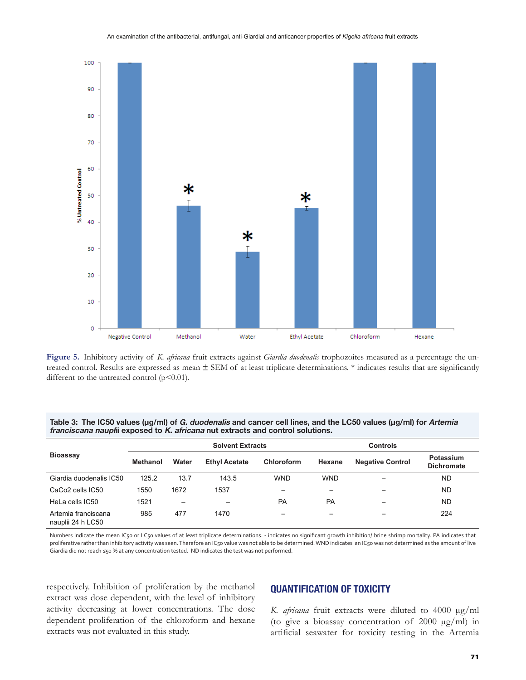

**Figure 5.** Inhibitory activity of *K. africana* fruit extracts against *Giardia duodenalis* trophozoites measured as a percentage the untreated control. Results are expressed as mean  $\pm$  SEM of at least triplicate determinations. \* indicates results that are significantly different to the untreated control  $(p<0.01)$ .

| Table 3: The IC50 values ( $\mu$ g/ml) of G. duodenalis and cancer cell lines, and the LC50 values ( $\mu$ g/ml) for Artemia |
|------------------------------------------------------------------------------------------------------------------------------|
| <i>franciscana naupli</i> exposed to <i>K. africana</i> nut extracts and control solutions.                                  |

| <b>Bioassay</b>                          |                 |       | <b>Solvent Extracts</b> |            | <b>Controls</b> |                         |                                |  |
|------------------------------------------|-----------------|-------|-------------------------|------------|-----------------|-------------------------|--------------------------------|--|
|                                          | <b>Methanol</b> | Water | <b>Ethyl Acetate</b>    | Chloroform | Hexane          | <b>Negative Control</b> | Potassium<br><b>Dichromate</b> |  |
| Giardia duodenalis IC50                  | 125.2           | 13.7  | 143.5                   | <b>WND</b> | <b>WND</b>      |                         | ND                             |  |
| CaCo <sub>2</sub> cells IC <sub>50</sub> | 1550            | 1672  | 1537                    |            |                 | -                       | ND                             |  |
| HeLa cells IC50                          | 1521            | -     |                         | <b>PA</b>  | PA              | -                       | ND                             |  |
| Artemia franciscana<br>nauplii 24 h LC50 | 985             | 477   | 1470                    |            |                 |                         | 224                            |  |

Numbers indicate the mean IC50 or LC50 values of at least triplicate determinations. - indicates no significant growth inhibition/ brine shrimp mortality. PA indicates that proliferative rather than inhibitory activity was seen. Therefore an IC50 value was not able to be determined. WND indicates an IC50 was not determined as the amount of live Giardia did not reach ≤50 % at any concentration tested. ND indicates the test was not performed.

respectively. Inhibition of proliferation by the methanol extract was dose dependent, with the level of inhibitory activity decreasing at lower concentrations. The dose dependent proliferation of the chloroform and hexane extracts was not evaluated in this study.

# **QUANTIFICATION OF TOXICITY**

*K. africana* fruit extracts were diluted to 4000 µg/ml (to give a bioassay concentration of 2000  $\mu$ g/ml) in artificial seawater for toxicity testing in the Artemia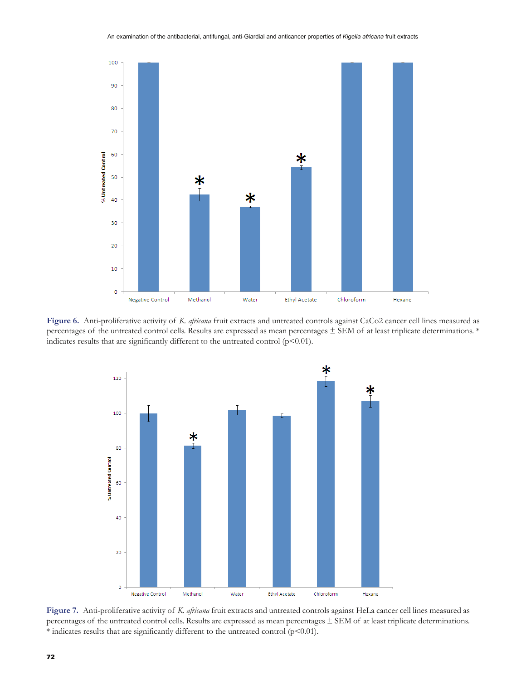

**Figure 6.** Anti-proliferative activity of *K. africana* fruit extracts and untreated controls against CaCo2 cancer cell lines measured as percentages of the untreated control cells. Results are expressed as mean percentages ± SEM of at least triplicate determinations. \* indicates results that are significantly different to the untreated control ( $p<0.01$ ).



**Figure 7.** Anti-proliferative activity of *K. africana* fruit extracts and untreated controls against HeLa cancer cell lines measured as percentages of the untreated control cells. Results are expressed as mean percentages  $\pm$  SEM of at least triplicate determinations.  $*$  indicates results that are significantly different to the untreated control (p<0.01).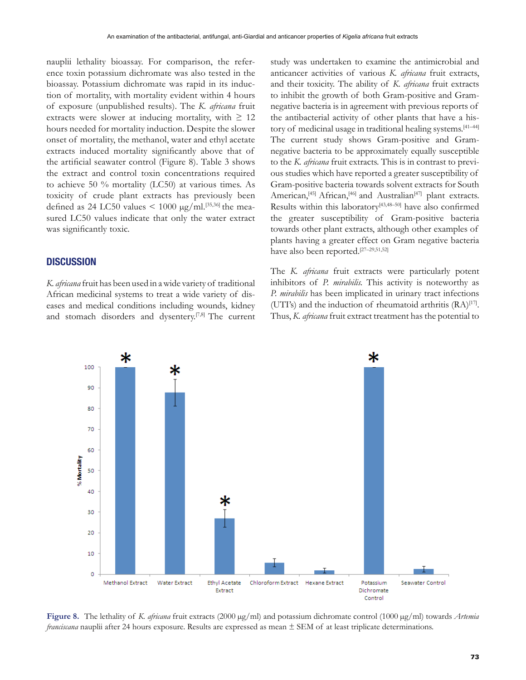nauplii lethality bioassay. For comparison, the reference toxin potassium dichromate was also tested in the bioassay. Potassium dichromate was rapid in its induction of mortality, with mortality evident within 4 hours of exposure (unpublished results). The *K. africana* fruit extracts were slower at inducing mortality, with  $\geq 12$ hours needed for mortality induction. Despite the slower onset of mortality, the methanol, water and ethyl acetate extracts induced mortality significantly above that of the artificial seawater control (Figure 8). Table 3 shows the extract and control toxin concentrations required to achieve 50 % mortality (LC50) at various times. As toxicity of crude plant extracts has previously been defined as 24 LC50 values  $\leq 1000 \text{ µg/ml}.^{[35,36]}$  the measured LC50 values indicate that only the water extract was significantly toxic.

# **DISCUSSION**

*K. africana* fruit has been used in a wide variety of traditional African medicinal systems to treat a wide variety of diseases and medical conditions including wounds, kidney and stomach disorders and dysentery.<sup>[7,8]</sup> The current study was undertaken to examine the antimicrobial and anticancer activities of various *K. africana* fruit extracts, and their toxicity. The ability of *K. africana* fruit extracts to inhibit the growth of both Gram-positive and Gramnegative bacteria is in agreement with previous reports of the antibacterial activity of other plants that have a history of medicinal usage in traditional healing systems.<sup>[41-44]</sup> The current study shows Gram-positive and Gramnegative bacteria to be approximately equally susceptible to the *K. africana* fruit extracts. This is in contrast to previous studies which have reported a greater susceptibility of Gram-positive bacteria towards solvent extracts for South American,<sup>[45]</sup> African,<sup>[46]</sup> and Australian<sup>[47]</sup> plant extracts. Results within this laboratory<sup>[43,48-50]</sup> have also confirmed the greater susceptibility of Gram-positive bacteria towards other plant extracts, although other examples of plants having a greater effect on Gram negative bacteria have also been reported.<sup>[27-29,51,52]</sup>

The *K. africana* fruit extracts were particularly potent inhibitors of *P. mirabilis.* This activity is noteworthy as *P. mirabilis* has been implicated in urinary tract infections (UTI's) and the induction of rheumatoid arthritis  $(RA)^{[17]}$ . Thus, *K. africana* fruit extract treatment has the potential to



Figure 8. The lethality of *K. africana* fruit extracts (2000 µg/ml) and potassium dichromate control (1000 µg/ml) towards *Artemia franciscana* nauplii after 24 hours exposure. Results are expressed as mean  $\pm$  SEM of at least triplicate determinations.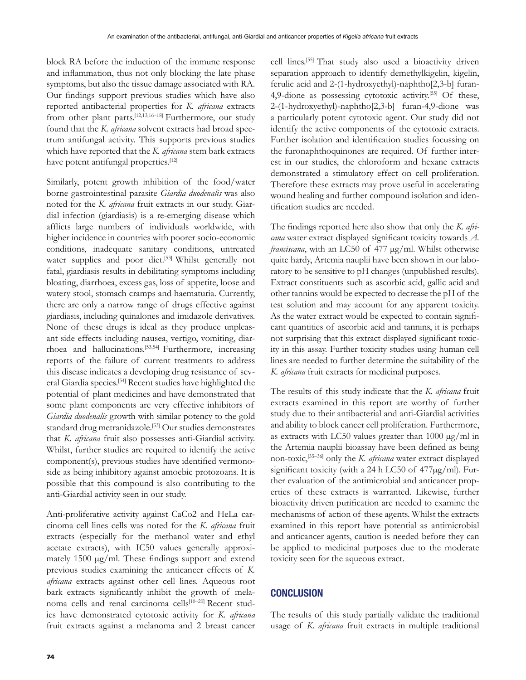block RA before the induction of the immune response and inflammation, thus not only blocking the late phase symptoms, but also the tissue damage associated with RA. Our findings support previous studies which have also reported antibacterial properties for *K. africana* extracts from other plant parts.<sup>[12,13,16-18]</sup> Furthermore, our study found that the *K. africana* solvent extracts had broad spectrum antifungal activity. This supports previous studies which have reported that the *K. africana* stem bark extracts have potent antifungal properties.<sup>[12]</sup>

Similarly, potent growth inhibition of the food/water borne gastrointestinal parasite *Giardia duodenalis* was also noted for the *K. africana* fruit extracts in our study. Giardial infection (giardiasis) is a re-emerging disease which afflicts large numbers of individuals worldwide, with higher incidence in countries with poorer socio-economic conditions, inadequate sanitary conditions, untreated water supplies and poor diet.<sup>[53]</sup> Whilst generally not fatal, giardiasis results in debilitating symptoms including bloating, diarrhoea, excess gas, loss of appetite, loose and watery stool, stomach cramps and haematuria. Currently, there are only a narrow range of drugs effective against giardiasis, including quinalones and imidazole derivatives. None of these drugs is ideal as they produce unpleasant side effects including nausea, vertigo, vomiting, diarrhoea and hallucinations.[53,54] Furthermore, increasing reports of the failure of current treatments to address this disease indicates a developing drug resistance of several Giardia species.[54] Recent studies have highlighted the potential of plant medicines and have demonstrated that some plant components are very effective inhibitors of *Giardia duodenalis* growth with similar potency to the gold standard drug metranidazole.<sup>[53]</sup> Our studies demonstrates that *K. africana* fruit also possesses anti-Giardial activity. Whilst, further studies are required to identify the active component(s), previous studies have identified vermonoside as being inhibitory against amoebic protozoans. It is possible that this compound is also contributing to the anti-Giardial activity seen in our study.

Anti-proliferative activity against CaCo2 and HeLa carcinoma cell lines cells was noted for the *K. africana* fruit extracts (especially for the methanol water and ethyl acetate extracts), with IC50 values generally approximately 1500  $\mu$ g/ml. These findings support and extend previous studies examining the anticancer effects of *K. africana* extracts against other cell lines. Aqueous root bark extracts significantly inhibit the growth of melanoma cells and renal carcinoma cells<sup>[10–20]</sup> Recent studies have demonstrated cytotoxic activity for *K. africana* fruit extracts against a melanoma and 2 breast cancer

cell lines.[55] That study also used a bioactivity driven separation approach to identify demethylkigelin, kigelin, ferulic acid and 2-(1-hydroxyethyl)-naphtho[2,3-b] furan-4,9-dione as possessing cytotoxic activity.<sup>[55]</sup> Of these, 2-(1-hydroxyethyl)-naphtho[2,3-b] furan-4,9-dione was a particularly potent cytotoxic agent. Our study did not identify the active components of the cytotoxic extracts. Further isolation and identification studies focussing on the furonaphthoquinones are required. Of further interest in our studies, the chloroform and hexane extracts demonstrated a stimulatory effect on cell proliferation. Therefore these extracts may prove useful in accelerating wound healing and further compound isolation and identification studies are needed.

The findings reported here also show that only the *K. africana* water extract displayed significant toxicity towards A. *franciscana*, with an LC50 of 477 µg/ml. Whilst otherwise quite hardy, Artemia nauplii have been shown in our laboratory to be sensitive to pH changes (unpublished results). Extract constituents such as ascorbic acid, gallic acid and other tannins would be expected to decrease the pH of the test solution and may account for any apparent toxicity. As the water extract would be expected to contain significant quantities of ascorbic acid and tannins, it is perhaps not surprising that this extract displayed significant toxicity in this assay. Further toxicity studies using human cell lines are needed to further determine the suitability of the *K. africana* fruit extracts for medicinal purposes.

The results of this study indicate that the *K. africana* fruit extracts examined in this report are worthy of further study due to their antibacterial and anti-Giardial activities and ability to block cancer cell proliferation. Furthermore, as extracts with LC50 values greater than  $1000 \mu g/ml$  in the Artemia nauplii bioassay have been defined as being non-toxic,[35–36] only the *K. africana* water extract displayed significant toxicity (with a 24 h LC50 of  $477\mu g/ml$ ). Further evaluation of the antimicrobial and anticancer properties of these extracts is warranted. Likewise, further bioactivity driven purification are needed to examine the mechanisms of action of these agents. Whilst the extracts examined in this report have potential as antimicrobial and anticancer agents, caution is needed before they can be applied to medicinal purposes due to the moderate toxicity seen for the aqueous extract.

# **CONCLUSION**

The results of this study partially validate the traditional usage of *K. africana* fruit extracts in multiple traditional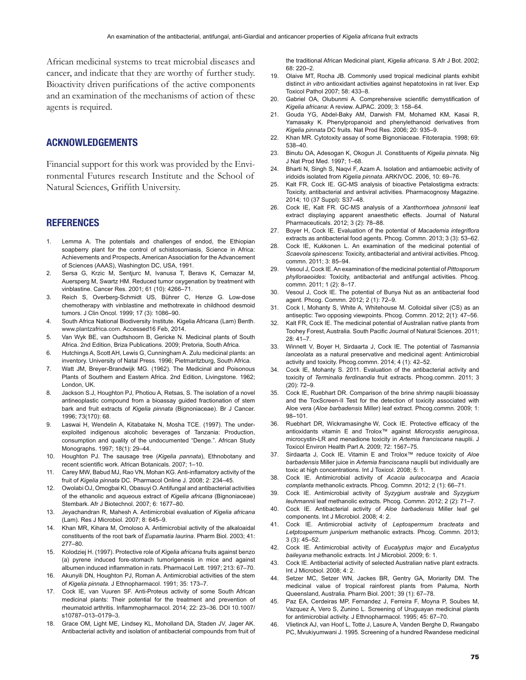African medicinal systems to treat microbial diseases and cancer, and indicate that they are worthy of further study. Bioactivity driven purifications of the active components and an examination of the mechanisms of action of these agents is required.

## **ACKNOWLEDGEMENTS**

Financial support for this work was provided by the Environmental Futures research Institute and the School of Natural Sciences, Griffith University.

#### **REFERENCES**

- 1. Lemma A. The potentials and challenges of endod, the Ethiopian soapberry plant for the control of schistosomiasis, Science in Africa: Achievements and Prospects, American Association for the Advancement of Sciences (AAAS), Washington DC, USA, 1991.
- 2. Sersa G, Krzic M, Sentjurc M, Ivanusa T, Beravs K, Cemazar M, Auersperg M, Swartz HM. Reduced tumor oxygenation by treatment with vinblastine. Cancer Res. 2001; 61 (10): 4266-71.
- 3. Reich S, Overberg-Schmidt US, Bührer C, Henze G. Low-dose chemotherapy with vinblastine and methotrexate in childhood desmoid tumors. J Clin Oncol. 1999; 17 (3): 1086-90.
- 4. South Africa National Biodiversity Institute. Kigelia Africana (Lam) Benth. www.plantzafrica.com. Accessed16 Feb, 2014.
- 5. Van Wyk BE, van Oudtshoorn B, Gericke N. Medicinal plants of South Africa. 2nd Edition, Briza Publications. 2009; Pretoria, South Africa.
- 6. Hutchings A, Scott AH, Lewis G, Cunningham A. Zulu medicinal plants: an inventory. University of Natal Press. 1996; Pietmaritzburg, South Africa.
- 7. Watt JM, Breyer-Brandwijk MG. (1962). The Medicinal and Poisonous Plants of Southern and Eastern Africa. 2nd Edition, Livingstone. 1962; London. UK.
- 8. Jackson S.J, Houghton PJ, Photiou A, Retsas, S. The isolation of a novel antineoplastic compound from a bioassay guided fractionation of stem bark and fruit extracts of Kigelia pinnata (Bignoniaceae). Br J Cancer. 1996; 73(170): 68.
- 9. Laswai H, Wendelin A, Kitabatake N, Mosha TCE. (1997). The underexploited indigenous alcoholic beverages of Tanzania: Production, consumption and quality of the undocumented "Denge.". African Study Monographs. 1997; 18(1): 29-44.
- 10. Houghton PJ. The sausage tree (Kigelia pannata), Ethnobotany and recent scientific work. African Botanicals. 2007; 1-10.
- 11. Carey MW, Babud MJ, Rao VN, Mohan KG. Anti-inflamatory activity of the fruit of *Kigelia pinnata* DC. Pharmacol Online J. 2008; 2: 234-45.
- 12. Owolabi OJ, Omogbai KI, Obasuyi O. Antifungal and antibacterial activities of the ethanolic and aqueous extract of Kigelia africana (Bignoniaceae) Stembark, Afr J Biotechnol, 2007; 6: 1677-80.
- 13. Jeyachandran R, Mahesh A. Antimicrobial evaluation of Kigelia africana (Lam). Res J Microbiol. 2007; 8: 645-9.
- 14. Khan MR, Kihara M, Omoloso A. Antimicrobial activity of the alkaloaidal constituents of the root bark of Eupamatia laurina. Pharm Biol. 2003; 41:  $277 - 80$
- 15. Kolodziej H. (1997). Protective role of Kigelia africana fruits against benzo (a) pyrene induced fore-stomach tumorigenesis in mice and against albumen induced inflammation in rats. Pharmacol Lett. 1997; 213: 67-70.
- 16. Akunyili DN, Houghton PJ, Roman A. Antimicrobial activities of the stem of *Kigelia pinnata.* J Ethnopharmacol. 1991: 35: 173-7.
- 17. Cock IE, van Vuuren SF. Anti-Proteus activity of some South African medicinal plants: Their potential for the treatment and prevention of rheumatoid arthritis. Inflammopharmacol. 2014; 22: 23-36. DOI 10.1007/ s10787-013-0179-3.
- 18. Grace OM, Light ME, Lindsey KL, Moholland DA, Staden JV, Jager AK. Antibacterial activity and isolation of antibacterial compounds from fruit of

the traditional African Medicinal plant, Kigelia africana. S Afr J Bot. 2002; 68: 220-2

- 19. Olaive MT, Rocha JB. Commonly used tropical medicinal plants exhibit distinct *in vitro* antioxidant activities against hepatotoxins in rat liver. Exp Toxicol Pathol 2007: 58: 433-8.
- 20. Gabriel OA, Olubunmi A. Comprehensive scientific demystification of *Kigelia africana*: A review. AJPAC. 2009; 3: 158-64.
- 21. Gouda YG, Abdel-Baky AM, Darwish FM, Mohamed KM, Kasai R, Yamasaky K. Phenylpropanoid and phenylethanoid derivatives from *Kigelia pinnata* DC fruits, Nat Prod Res. 2006: 20: 935-9.
- 22. Khan MR. Cytotoxity assay of some Bignoniaceae. Fitoterapia. 1998; 69: 538-40
- 23. Binutu OA, Adesogan K, Okogun Jl. Constituents of Kigelia pinnata. Nig J Nat Prod Med. 1997: 1-68.
- 24. Bharti N, Singh S, Nagvi F, Azam A. Isolation and antiamoebic activity of iridoids isolated from *Kigelia pinnata*. ARKIVOC. 2006, 10: 69-76.
- 25. Kalt FR, Cock IE. GC-MS analysis of bioactive Petalostigma extracts: Toxicity, antibacterial and antiviral activities. Pharmacognosy Magazine. 2014; 10 (37 Suppl): S37-48.
- 26. Cock IE, Kalt FR. GC-MS analysis of a Xanthorrhoea johnsonii leaf extract displaying apparent anaesthetic effects. Journal of Natural Pharmaceuticals, 2012; 3 (2): 78-88.
- 27. Boyer H, Cock IE. Evaluation of the potential of Macademia integriflora extracts as antibacterial food agents. Phcog. Commn. 2013; 3 (3): 53-62.
- 28. Cock IE, Kukkonen L. An examination of the medicinal potential of *Scaevola spinescens*: Toxicity, antibacterial and antiviral activities. Phcog. commn. 2011: 3: 85-94.
- 29. Vesoul J, Cock IE. An examination of the medicinal potential of Pittosporum phylloraeoides: Toxicity, antibacterial and antifungal activities. Phcog. commn. 2011; 1 (2): 8-17.
- 30. Vesoul J, Cock IE. The potential of Bunya Nut as an antibacterial food agent. Phcog. Commn. 2012; 2 (1): 72-9.
- 31. Cock I, Mohanty S, White A, Whitehouse M. Colloidal silver (CS) as an antiseptic: Two opposing viewpoints. Phcog. Commn. 2012; 2(1): 47-56.
- 32. Kalt FR, Cock IE. The medicinal potential of Australian native plants from Toohey Forest, Australia. South Pacific Journal of Natural Sciences. 2011;  $28 \cdot 41 - 7$
- 33. Winnett V, Boyer H, Sirdaarta J, Cock IE. The potential of Tasmannia *lanceolata* as a natural preservative and medicinal agent: Antimicrobial activity and toxicity. Phcog.commn. 2014; 4 (1):  $42-52$ .
- 34. Cock IE, Mohanty S. 2011. Evaluation of the antibacterial activity and toxicity of Terminalia ferdinandia fruit extracts. Phcog.commn. 2011; 3  $(20): 72 - 9.$
- 35. Cock IE, Ruebhart DR. Comparison of the brine shrimp nauplii bioassay and the ToxScreen-II Test for the detection of toxicity associated with Aloe vera (Aloe barbadensis Miller) leaf extract. Phcoq.commn. 2009; 1:  $98 - 101$
- 36. Ruebhart DR, Wickramasinghe W, Cock IE. Protective efficacy of the antioxidants vitamin E and Trolox<sup>™</sup> against *Microcystis aeruginosa*, microcystin-LR and menadione toxicity in Artemia franciscana nauplii. J Toxicol Environ Health Part A. 2009; 72: 1567-75.
- 37. Sirdaarta J, Cock IE. Vitamin E and Trolox<sup>™</sup> reduce toxicity of Aloe barbadensis Miller juice in Artemia franciscana nauplii but individually are toxic at high concentrations. Int J Toxicol. 2008: 5: 1.
- 38. Cock IE. Antimicrobial activity of *Acacia aulacocarpa* and *Acacia complanta* methanolic extracts. Phcoq. Commn. 2012; 2 (1): 66-71.
- 39. Cock IE. Antimicrobial activity of Syzygium australe and Syzygium *Ieuhmannii* leaf methanolic extracts. Phoog. Commn. 2012; 2 (2): 71-7.
- 40. Cock IE. Antibacterial activity of Aloe barbadensis Miller leaf gel components. Int J Microbiol. 2008; 4: 2.
- 41. Cock IE. Antimicrobial activity of *Leptospermum bracteata* and Letptospermum juniperium methanolic extracts. Phcog. Commn. 2013;  $3(3): 45 - 52.$
- 42. Cock IE. Antimicrobial activity of *Eucalyptus major* and *Eucalyptus* baileyana methanolic extracts. Int J Microbiol. 2009; 6: 1.
- 43. Cock IE. Antibacterial activity of selected Australian native plant extracts. Int J Microbiol,  $2008:4:2$ .
- 44. Setzer MC, Setzer WN, Jackes BR, Gentry GA, Moriarity DM. The medicinal value of tropical rainforest plants from Paluma, North Queensland, Australia. Pharm Biol. 2001; 39 (1): 67-78.
- 45. Paz EA, Cerdeiras MP, Fernandez J, Ferreira F, Moyna P, Soubes M, Vazquez A, Vero S, Zunino L. Screening of Uruguayan medicinal plants for antimicrobial activity. J Ethnopharmacol. 1995; 45: 67-70.
- 46. Vlietinck AJ, van Hoof L, Totte J, Lasure A, Vanden Berghe D, Rwangabo PC, Mvukiyumwani J. 1995. Screening of a hundred Rwandese medicinal